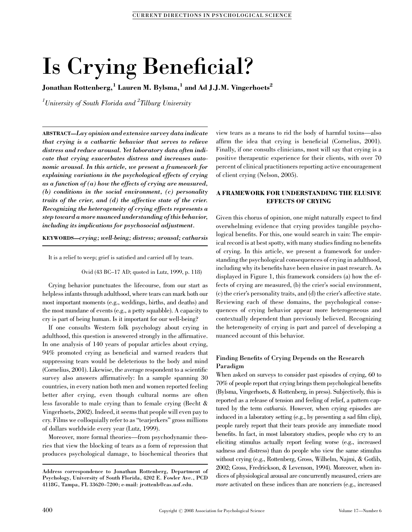# Is Crying Beneficial?

Jonathan Rottenberg,<sup>1</sup> Lauren M. Bylsma,<sup>1</sup> and Ad J.J.M. Vingerhoets<sup>2</sup>

 $^1$ University of South Florida and  $^2$ Tilburg University

ABSTRACT—Lay opinion and extensive survey data indicate that crying is a cathartic behavior that serves to relieve distress and reduce arousal. Yet laboratory data often indicate that crying exacerbates distress and increases autonomic arousal. In this article, we present a framework for explaining variations in the psychological effects of crying as a function of  $(a)$  how the effects of crying are measured, (b) conditions in the social environment, (c) personality traits of the crier, and (d) the affective state of the crier. Recognizing the heterogeneity of crying effects represents a step toward a more nuanced understanding of this behavior, including its implications for psychosocial adjustment.

KEYWORDS—crying; well-being; distress; arousal; catharsis

It is a relief to weep; grief is satisfied and carried off by tears.

Ovid (43 BC–17 AD; quoted in Lutz, 1999, p. 118)

Crying behavior punctuates the lifecourse, from our start as helpless infants through adulthood, where tears can mark both our most important moments (e.g., weddings, births, and deaths) and the most mundane of events (e.g., a petty squabble). A capacity to cry is part of being human. Is it important for our well-being?

If one consults Western folk psychology about crying in adulthood, this question is answered strongly in the affirmative. In one analysis of 140 years of popular articles about crying, 94% promoted crying as beneficial and warned readers that suppressing tears would be deleterious to the body and mind (Cornelius, 2001). Likewise, the average respondent to a scientific survey also answers affirmatively: In a sample spanning 30 countries, in every nation both men and women reported feeling better after crying, even though cultural norms are often less favorable to male crying than to female crying (Becht & Vingerhoets, 2002). Indeed, it seems that people will even pay to cry. Films we colloquially refer to as ''tearjerkers'' gross millions of dollars worldwide every year (Lutz, 1999).

Moreover, more formal theories—from psychodynamic theories that view the blocking of tears as a form of repression that produces psychological damage, to biochemical theories that view tears as a means to rid the body of harmful toxins—also affirm the idea that crying is beneficial (Cornelius, 2001). Finally, if one consults clinicians, most will say that crying is a positive therapeutic experience for their clients, with over 70 percent of clinical practitioners reporting active encouragement of client crying (Nelson, 2005).

# A FRAMEWORK FOR UNDERSTANDING THE ELUSIVE EFFECTS OF CRYING

Given this chorus of opinion, one might naturally expect to find overwhelming evidence that crying provides tangible psychological benefits. For this, one would search in vain: The empirical record is at best spotty, with many studies finding no benefits of crying. In this article, we present a framework for understanding the psychological consequences of crying in adulthood, including why its benefits have been elusive in past research. As displayed in Figure 1, this framework considers (a) how the effects of crying are measured, (b) the crier's social environment, (c) the crier's personality traits, and (d) the crier's affective state. Reviewing each of these domains, the psychological consequences of crying behavior appear more heterogeneous and contextually dependent than previously believed. Recognizing the heterogeneity of crying is part and parcel of developing a nuanced account of this behavior.

# Finding Benefits of Crying Depends on the Research Paradigm

When asked on surveys to consider past episodes of crying, 60 to 70% of people report that crying brings them psychological benefits (Bylsma, Vingerhoets, & Rottenberg, in press). Subjectively, this is reported as a release of tension and feeling of relief, a pattern captured by the term catharsis. However, when crying episodes are induced in a laboratory setting (e.g., by presenting a sad film clip), people rarely report that their tears provide any immediate mood benefits. In fact, in most laboratory studies, people who cry to an eliciting stimulus actually report feeling worse (e.g., increased sadness and distress) than do people who view the same stimulus without crying (e.g., Rottenberg, Gross, Wilhelm, Najmi, & Gotlib, 2002; Gross, Fredrickson, & Levenson, 1994). Moreover, when indices of physiological arousal are concurrently measured, criers are more activated on these indices than are noncriers (e.g., increased

Address correspondence to Jonathan Rottenberg, Department of Psychology, University of South Florida, 4202 E. Fowler Ave., PCD 4118G, Tampa, FL 33620–7200; e-mail: jrottenb@cas.usf.edu.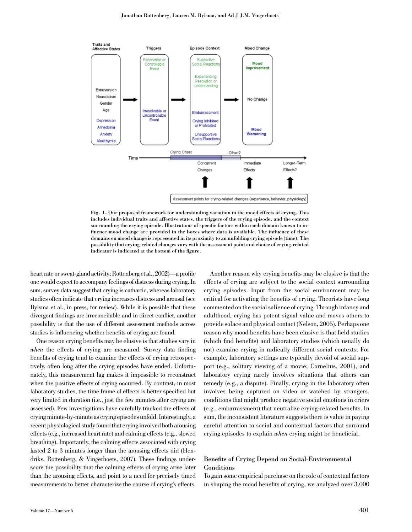

Fig. 1. Our proposed framework for understanding variation in the mood effects of crying. This includes individual traits and affective states, the triggers of the crying episode, and the context surrounding the crying episode. Illustrations of specific factors within each domain known to influence mood change are provided in the boxes where data is available. The influence of these domains on mood change is represented in its proximity to an unfolding crying episode (time). The possibility that crying-related changes vary with the assessment point and choice of crying-related indicator is indicated at the bottom of the figure.

heart rate or sweat-gland activity; Rottenberg et al., 2002)—a profile one would expect to accompany feelings of distress during crying. In sum, survey data suggest that crying is cathartic, whereas laboratory studies often indicate that crying increases distress and arousal (see Bylsma et al., in press, for review). While it is possible that these divergent findings are irreconcilable and in direct conflict, another possibility is that the use of different assessment methods across studies is influencing whether benefits of crying are found.

One reason crying benefits may be elusive is that studies vary in when the effects of crying are measured. Survey data finding benefits of crying tend to examine the effects of crying retrospectively, often long after the crying episodes have ended. Unfortunately, this measurement lag makes it impossible to reconstruct when the positive effects of crying occurred. By contrast, in most laboratory studies, the time frame of effects is better specified but very limited in duration (i.e., just the few minutes after crying are assessed). Few investigations have carefully tracked the effects of crying minute-by-minute as crying episodes unfold. Interestingly, a recent physiological study found that crying involved both arousing effects (e.g., increased heart rate) and calming effects (e.g., slowed breathing). Importantly, the calming effects associated with crying lasted 2 to 3 minutes longer than the arousing effects did (Hendriks, Rottenberg, & Vingerhoets, 2007). These findings underscore the possibility that the calming effects of crying arise later than the arousing effects, and point to a need for precisely timed measurements to better characterize the course of crying's effects.

Another reason why crying benefits may be elusive is that the effects of crying are subject to the social context surrounding crying episodes. Input from the social environment may be critical for activating the benefits of crying. Theorists have long commented on the social salience of crying: Through infancy and adulthood, crying has potent signal value and moves others to provide solace and physical contact (Nelson, 2005). Perhaps one reason why mood benefits have been elusive is that field studies (which find benefits) and laboratory studies (which usually do not) examine crying in radically different social contexts. For example, laboratory settings are typically devoid of social support (e.g., solitary viewing of a movie; Cornelius, 2001), and laboratory crying rarely involves situations that others can remedy (e.g., a dispute). Finally, crying in the laboratory often involves being captured on video or watched by strangers, conditions that might produce negative social emotions in criers (e.g., embarrassment) that neutralize crying-related benefits. In sum, the inconsistent literature suggests there is value in paying careful attention to social and contextual factors that surround crying episodes to explain when crying might be beneficial.

## Benefits of Crying Depend on Social-Environmental Conditions

To gain some empirical purchase on the role of contextual factors in shaping the mood benefits of crying, we analyzed over 3,000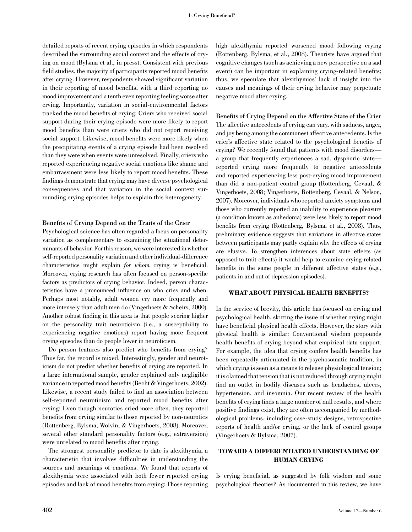detailed reports of recent crying episodes in which respondents described the surrounding social context and the effects of crying on mood (Bylsma et al., in press). Consistent with previous field studies, the majority of participants reported mood benefits after crying. However, respondents showed significant variation in their reporting of mood benefits, with a third reporting no mood improvement and a tenth even reporting feeling worse after crying. Importantly, variation in social-environmental factors tracked the mood benefits of crying: Criers who received social support during their crying episode were more likely to report mood benefits than were criers who did not report receiving social support. Likewise, mood benefits were more likely when the precipitating events of a crying episode had been resolved than they were when events were unresolved. Finally, criers who reported experiencing negative social emotions like shame and embarrassment were less likely to report mood benefits. These findings demonstrate that crying may have diverse psychological consequences and that variation in the social context surrounding crying episodes helps to explain this heterogeneity.

#### Benefits of Crying Depend on the Traits of the Crier

Psychological science has often regarded a focus on personality variation as complementary to examining the situational determinants of behavior. For this reason, we were interested in whether self-reported personality variation and other individual-difference characteristics might explain for whom crying is beneficial. Moreover, crying research has often focused on person-specific factors as predictors of crying behavior. Indeed, person characteristics have a pronounced influence on who cries and when. Perhaps most notably, adult women cry more frequently and more intensely than adult men do (Vingerhoets & Scheirs, 2000). Another robust finding in this area is that people scoring higher on the personality trait neuroticism (i.e., a susceptibility to experiencing negative emotions) report having more frequent crying episodes than do people lower in neuroticism.

Do person features also predict who benefits from crying? Thus far, the record is mixed. Interestingly, gender and neuroticism do not predict whether benefits of crying are reported. In a large international sample, gender explained only negligible variance in reported mood benefits (Becht & Vingerhoets, 2002). Likewise, a recent study failed to find an association between self-reported neuroticism and reported mood benefits after crying: Even though neurotics cried more often, they reported benefits from crying similar to those reported by non-neurotics (Rottenberg, Bylsma, Wolvin, & Vingerhoets, 2008). Moreover, several other standard personality factors (e.g., extraversion) were unrelated to mood benefits after crying.

The strongest personality predictor to date is alexithymia, a characteristic that involves difficulties in understanding the sources and meanings of emotions. We found that reports of alexithymia were associated with both fewer reported crying episodes and lack of mood benefits from crying: Those reporting high alexithymia reported worsened mood following crying (Rottenberg, Bylsma, et al., 2008). Theorists have argued that cognitive changes (such as achieving a new perspective on a sad event) can be important in explaining crying-related benefits; thus, we speculate that alexithymics' lack of insight into the causes and meanings of their crying behavior may perpetuate negative mood after crying.

Benefits of Crying Depend on the Affective State of the Crier The affective antecedents of crying can vary, with sadness, anger, and joy being among the commonest affective antecedents. Is the crier's affective state related to the psychological benefits of crying? We recently found that patients with mood disorders a group that frequently experiences a sad, dysphoric state reported crying more frequently to negative antecedents and reported experiencing less post-crying mood improvement than did a non-patient control group (Rottenberg, Cevaal, & Vingerhoets, 2008; Vingerhoets, Rottenberg, Cevaal, & Nelson, 2007). Moreover, individuals who reported anxiety symptoms and those who currently reported an inability to experience pleasure (a condition known as anhedonia) were less likely to report mood benefits from crying (Rottenberg, Bylsma, et al., 2008). Thus, preliminary evidence suggests that variations in affective states between participants may partly explain why the effects of crying are elusive. To strengthen inferences about state effects (as opposed to trait effects) it would help to examine crying-related benefits in the same people in different affective states (e.g., patients in and out of depression episodes).

### WHAT ABOUT PHYSICAL HEALTH BENEFITS?

In the service of brevity, this article has focused on crying and psychological health, skirting the issue of whether crying might have beneficial physical health effects. However, the story with physical health is similar: Conventional wisdom propounds health benefits of crying beyond what empirical data support. For example, the idea that crying confers health benefits has been repeatedly articulated in the psychosomatic tradition, in which crying is seen as a means to release physiological tension; it is claimed that tension that is not reduced through crying might find an outlet in bodily diseases such as headaches, ulcers, hypertension, and insomnia. Our recent review of the health benefits of crying finds a large number of null results, and where positive findings exist, they are often accompanied by methodological problems, including case-study designs, retrospective reports of health and/or crying, or the lack of control groups (Vingerhoets & Bylsma, 2007).

# TOWARD A DIFFERENTIATED UNDERSTANDING OF HUMAN CRYING

Is crying beneficial, as suggested by folk wisdom and some psychological theories? As documented in this review, we have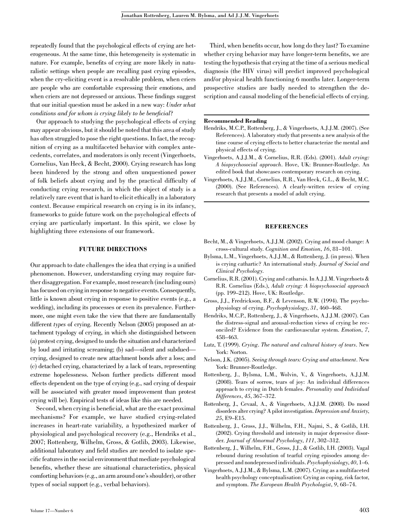repeatedly found that the psychological effects of crying are heterogeneous. At the same time, this heterogeneity is systematic in nature. For example, benefits of crying are more likely in naturalistic settings when people are recalling past crying episodes, when the cry-eliciting event is a resolvable problem, when criers are people who are comfortable expressing their emotions, and when criers are not depressed or anxious. These findings suggest that our initial question must be asked in a new way: Under what conditions and for whom is crying likely to be beneficial?

Our approach to studying the psychological effects of crying may appear obvious, but it should be noted that this area of study has often struggled to pose the right questions. In fact, the recognition of crying as a multifaceted behavior with complex antecedents, correlates, and moderators is only recent (Vingerhoets, Cornelius, Van Heck, & Becht, 2000). Crying research has long been hindered by the strong and often unquestioned power of folk beliefs about crying and by the practical difficulty of conducting crying research, in which the object of study is a relatively rare event that is hard to elicit ethically in a laboratory context. Because empirical research on crying is in its infancy, frameworks to guide future work on the psychological effects of crying are particularly important. In this spirit, we close by highlighting three extensions of our framework.

## FUTURE DIRECTIONS

Our approach to date challenges the idea that crying is a unified phenomenon. However, understanding crying may require further disaggregation. For example, most research (including ours) has focused on crying in response to negative events. Consequently, little is known about crying in response to positive events (e.g., a wedding), including its processes or even its prevalence. Furthermore, one might even take the view that there are fundamentally different types of crying. Recently Nelson (2005) proposed an attachment typology of crying, in which she distinguished between (a) protest crying, designed to undo the situation and characterized by loud and irritating screaming; (b) sad—silent and subdued crying, designed to create new attachment bonds after a loss; and (c) detached crying, characterized by a lack of tears, representing extreme hopelessness. Nelson further predicts different mood effects dependent on the type of crying (e.g., sad crying of despair will be associated with greater mood improvement than protest crying will be). Empirical tests of ideas like this are needed.

Second, when crying is beneficial, what are the exact proximal mechanisms? For example, we have studied crying-related increases in heart-rate variability, a hypothesized marker of physiological and psychological recovery (e.g., Hendriks et al., 2007; Rottenberg, Wilhelm, Gross, & Gotlib, 2003). Likewise, additional laboratory and field studies are needed to isolate specific features in the social environment that mediate psychological benefits, whether these are situational characteristics, physical comforting behaviors (e.g., an arm around one's shoulder), or other types of social support (e.g., verbal behaviors).

Third, when benefits occur, how long do they last? To examine whether crying behavior may have longer-term benefits, we are testing the hypothesis that crying at the time of a serious medical diagnosis (the HIV virus) will predict improved psychological and/or physical health functioning 6 months later. Longer-term prospective studies are badly needed to strengthen the description and causal modeling of the beneficial effects of crying.

Recommended Reading

- Hendriks, M.C.P., Rottenberg, J., & Vingerhoets, A.J.J.M. (2007). (See References). A laboratory study that presents a new analysis of the time course of crying effects to better characterize the mental and physical effects of crying.
- Vingerhoets, A.J.J.M., & Cornelius, R.R. (Eds). (2001). Adult crying: A biopsychosocial approach. Hove, UK: Brunner-Routledge. An edited book that showcases contemporary research on crying.
- Vingerhoets, A.J.J.M., Cornelius, R.R., Van Heck, G.L., & Becht, M.C. (2000). (See References). A clearly-written review of crying research that presents a model of adult crying.

#### REFERENCES

- Becht, M., & Vingerhoets, A.J.J.M. (2002). Crying and mood change: A cross-cultural study. Cognition and Emotion, 16, 81–101.
- Bylsma, L.M., Vingerhoets, A.J.J.M., & Rottenberg, J. (in press). When is crying cathartic? An international study. Journal of Social and Clinical Psychology.
- Cornelius, R.R. (2001). Crying and catharsis. In A.J.J.M. Vingerhoets & R.R. Cornelius (Eds.), Adult crying: A biopsychosocial approach (pp. 199–212). Hove, UK: Routledge.
- Gross, J.J., Fredrickson, B.F., & Levenson, R.W. (1994). The psychophysiology of crying. Psychophysiology, 31, 460–468.
- Hendriks, M.C.P., Rottenberg, J., & Vingerhoets, A.J.J.M. (2007). Can the distress-signal and arousal-reduction views of crying be reconciled? Evidence from the cardiovascular system. Emotion, 7, 458–463.
- Lutz, T. (1999). Crying. The natural and cultural history of tears. New York: Norton.
- Nelson, J.K. (2005). Seeing through tears: Crying and attachment. New York: Brunner-Routledge.
- Rottenberg, J., Bylsma, L.M., Wolvin, V., & Vingerhoets, A.J.J.M. (2008). Tears of sorrow, tears of joy: An individual differences approach to crying in Dutch females. Personality and Individual Differences, 45, 367–372.
- Rottenberg, J., Cevaal, A., & Vingerhoets, A.J.J.M. (2008). Do mood disorders alter crying? A pilot investigation. Depression and Anxiety, 25, E9–E15.
- Rottenberg, J., Gross, J.J., Wilhelm, F.H., Najmi, S., & Gotlib, I.H. (2002). Crying threshold and intensity in major depressive disorder. Journal of Abnormal Psychology, 111, 302–312.
- Rottenberg, J., Wilhelm, F.H., Gross, J.J., & Gotlib, I.H. (2003). Vagal rebound during resolution of tearful crying episodes among depressed and nondepressed individuals.Psychophysiology, 40, 1–6.
- Vingerhoets, A.J.J.M., & Bylsma, L.M. (2007). Crying as a multifaceted health psychology conceptualisation: Crying as coping, risk factor, and symptom. The European Health Psychologist, 9, 68–74.